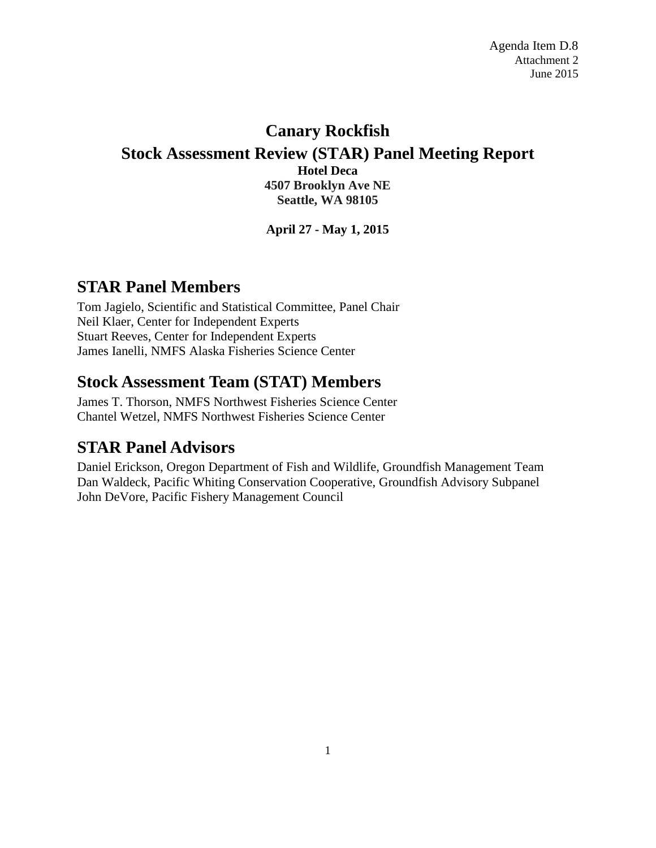## **Canary Rockfish Stock Assessment Review (STAR) Panel Meeting Report Hotel Deca 4507 Brooklyn Ave NE Seattle, WA 98105**

**April 27 - May 1, 2015**

# **STAR Panel Members**

Tom Jagielo, Scientific and Statistical Committee, Panel Chair Neil Klaer, Center for Independent Experts Stuart Reeves, Center for Independent Experts James Ianelli, NMFS Alaska Fisheries Science Center

## **Stock Assessment Team (STAT) Members**

James T. Thorson, NMFS Northwest Fisheries Science Center Chantel Wetzel, NMFS Northwest Fisheries Science Center

## **STAR Panel Advisors**

Daniel Erickson, Oregon Department of Fish and Wildlife, Groundfish Management Team Dan Waldeck, Pacific Whiting Conservation Cooperative, Groundfish Advisory Subpanel John DeVore, Pacific Fishery Management Council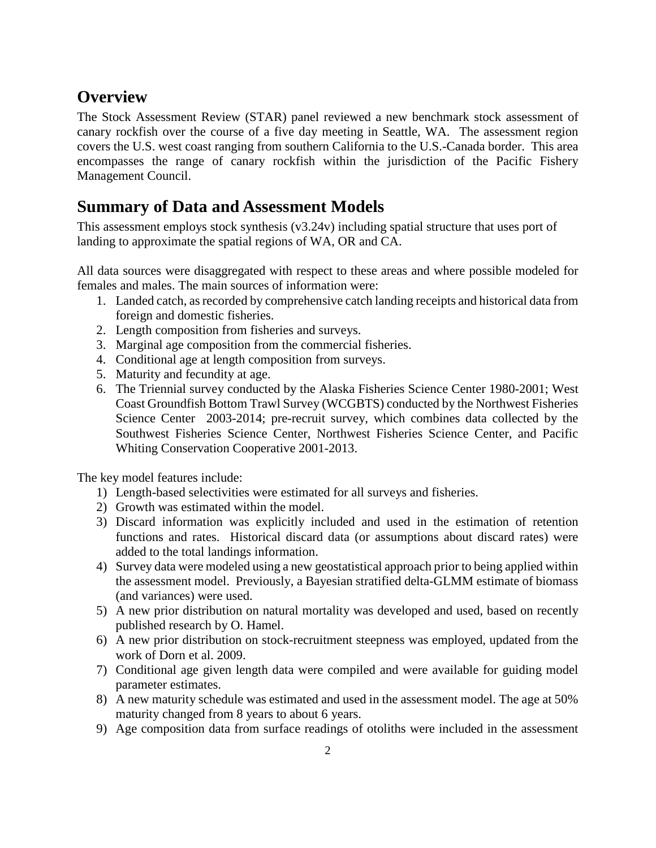## **Overview**

The Stock Assessment Review (STAR) panel reviewed a new benchmark stock assessment of canary rockfish over the course of a five day meeting in Seattle, WA. The assessment region covers the U.S. west coast ranging from southern California to the U.S.-Canada border. This area encompasses the range of canary rockfish within the jurisdiction of the Pacific Fishery Management Council.

# **Summary of Data and Assessment Models**

This assessment employs stock synthesis (v3.24v) including spatial structure that uses port of landing to approximate the spatial regions of WA, OR and CA.

All data sources were disaggregated with respect to these areas and where possible modeled for females and males. The main sources of information were:

- 1. Landed catch, as recorded by comprehensive catch landing receipts and historical data from foreign and domestic fisheries.
- 2. Length composition from fisheries and surveys.
- 3. Marginal age composition from the commercial fisheries.
- 4. Conditional age at length composition from surveys.
- 5. Maturity and fecundity at age.
- 6. The Triennial survey conducted by the Alaska Fisheries Science Center 1980-2001; West Coast Groundfish Bottom Trawl Survey (WCGBTS) conducted by the Northwest Fisheries Science Center 2003-2014; pre-recruit survey, which combines data collected by the Southwest Fisheries Science Center, Northwest Fisheries Science Center, and Pacific Whiting Conservation Cooperative 2001-2013.

The key model features include:

- 1) Length-based selectivities were estimated for all surveys and fisheries.
- 2) Growth was estimated within the model.
- 3) Discard information was explicitly included and used in the estimation of retention functions and rates. Historical discard data (or assumptions about discard rates) were added to the total landings information.
- 4) Survey data were modeled using a new geostatistical approach prior to being applied within the assessment model. Previously, a Bayesian stratified delta-GLMM estimate of biomass (and variances) were used.
- 5) A new prior distribution on natural mortality was developed and used, based on recently published research by O. Hamel.
- 6) A new prior distribution on stock-recruitment steepness was employed, updated from the work of Dorn et al. 2009.
- 7) Conditional age given length data were compiled and were available for guiding model parameter estimates.
- 8) A new maturity schedule was estimated and used in the assessment model. The age at 50% maturity changed from 8 years to about 6 years.
- 9) Age composition data from surface readings of otoliths were included in the assessment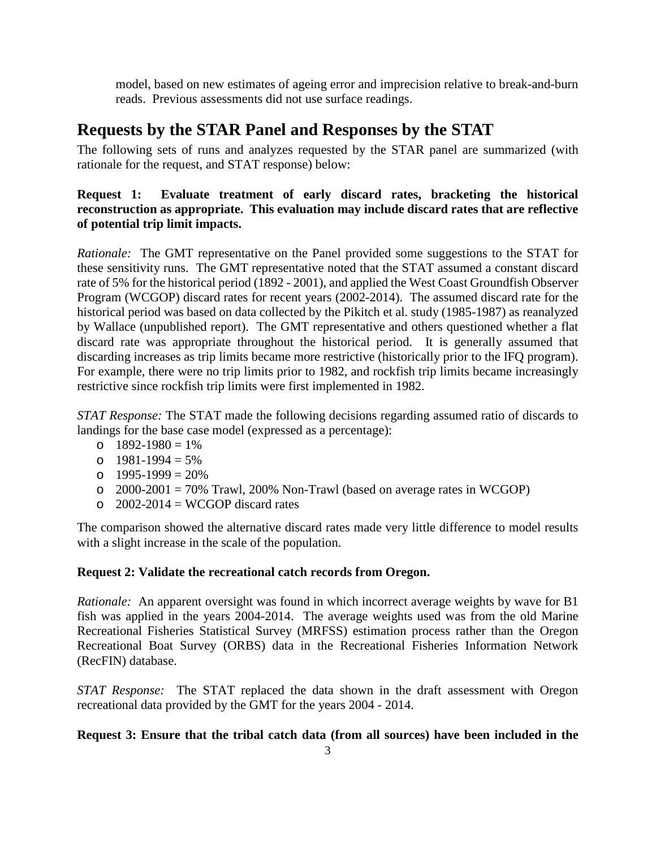model, based on new estimates of ageing error and imprecision relative to break-and-burn reads. Previous assessments did not use surface readings.

# **Requests by the STAR Panel and Responses by the STAT**

The following sets of runs and analyzes requested by the STAR panel are summarized (with rationale for the request, and STAT response) below:

### **Request 1: Evaluate treatment of early discard rates, bracketing the historical reconstruction as appropriate. This evaluation may include discard rates that are reflective of potential trip limit impacts.**

*Rationale:* The GMT representative on the Panel provided some suggestions to the STAT for these sensitivity runs. The GMT representative noted that the STAT assumed a constant discard rate of 5% for the historical period (1892 - 2001), and applied the West Coast Groundfish Observer Program (WCGOP) discard rates for recent years (2002-2014). The assumed discard rate for the historical period was based on data collected by the Pikitch et al. study (1985-1987) as reanalyzed by Wallace (unpublished report). The GMT representative and others questioned whether a flat discard rate was appropriate throughout the historical period. It is generally assumed that discarding increases as trip limits became more restrictive (historically prior to the IFQ program). For example, there were no trip limits prior to 1982, and rockfish trip limits became increasingly restrictive since rockfish trip limits were first implemented in 1982.

*STAT Response:* The STAT made the following decisions regarding assumed ratio of discards to landings for the base case model (expressed as a percentage):

- o  $1892-1980 = 1\%$
- $\circ$  1981-1994 = 5%
- o  $1995-1999 = 20%$
- $\degree$  2000-2001 = 70% Trawl, 200% Non-Trawl (based on average rates in WCGOP)
- $\Omega$  2002-2014 = WCGOP discard rates

The comparison showed the alternative discard rates made very little difference to model results with a slight increase in the scale of the population.

### **Request 2: Validate the recreational catch records from Oregon.**

*Rationale:* An apparent oversight was found in which incorrect average weights by wave for B1 fish was applied in the years 2004-2014. The average weights used was from the old Marine Recreational Fisheries Statistical Survey (MRFSS) estimation process rather than the Oregon Recreational Boat Survey (ORBS) data in the Recreational Fisheries Information Network (RecFIN) database.

*STAT Response:* The STAT replaced the data shown in the draft assessment with Oregon recreational data provided by the GMT for the years 2004 - 2014.

#### **Request 3: Ensure that the tribal catch data (from all sources) have been included in the**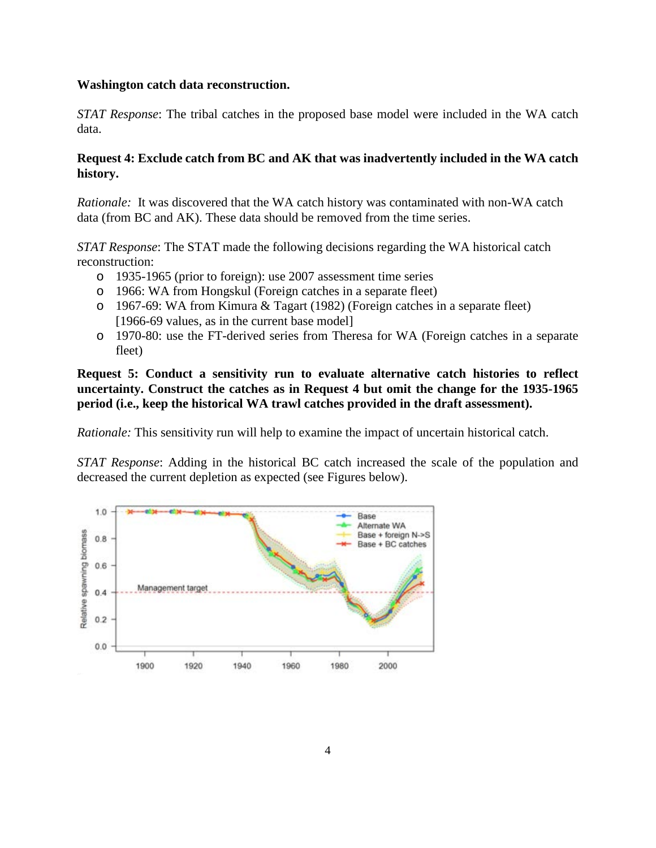#### **Washington catch data reconstruction.**

*STAT Response*: The tribal catches in the proposed base model were included in the WA catch data.

#### **Request 4: Exclude catch from BC and AK that was inadvertently included in the WA catch history.**

*Rationale:* It was discovered that the WA catch history was contaminated with non-WA catch data (from BC and AK). These data should be removed from the time series.

*STAT Response*: The STAT made the following decisions regarding the WA historical catch reconstruction:

- o 1935-1965 (prior to foreign): use 2007 assessment time series
- o 1966: WA from Hongskul (Foreign catches in a separate fleet)
- o 1967-69: WA from Kimura & Tagart (1982) (Foreign catches in a separate fleet) [1966-69 values, as in the current base model]
- o 1970-80: use the FT-derived series from Theresa for WA (Foreign catches in a separate fleet)

**Request 5: Conduct a sensitivity run to evaluate alternative catch histories to reflect uncertainty. Construct the catches as in Request 4 but omit the change for the 1935-1965 period (i.e., keep the historical WA trawl catches provided in the draft assessment).**

*Rationale:* This sensitivity run will help to examine the impact of uncertain historical catch.

*STAT Response*: Adding in the historical BC catch increased the scale of the population and decreased the current depletion as expected (see Figures below).

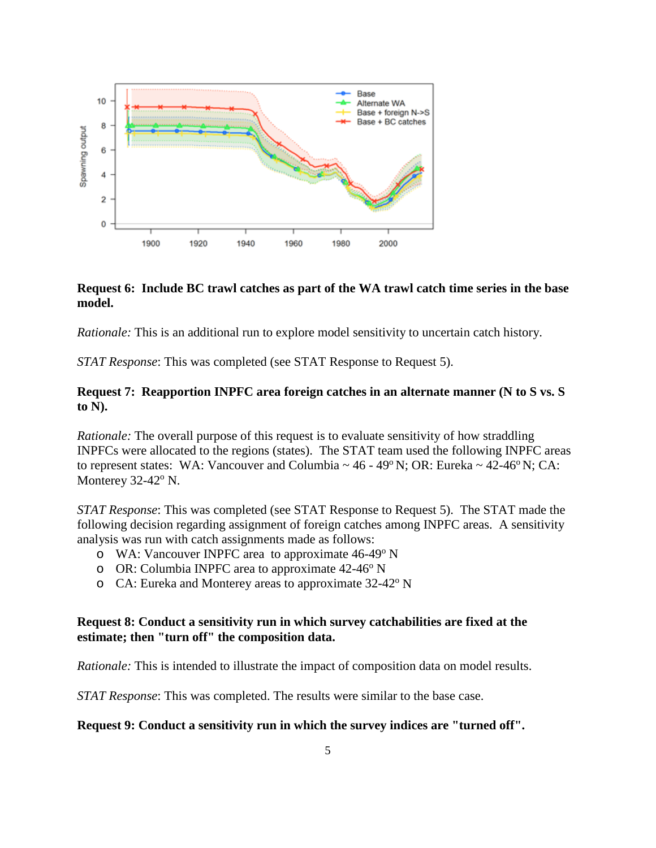

#### **Request 6: Include BC trawl catches as part of the WA trawl catch time series in the base model.**

*Rationale:* This is an additional run to explore model sensitivity to uncertain catch history.

*STAT Response*: This was completed (see STAT Response to Request 5).

#### **Request 7: Reapportion INPFC area foreign catches in an alternate manner (N to S vs. S to N).**

*Rationale:* The overall purpose of this request is to evaluate sensitivity of how straddling INPFCs were allocated to the regions (states). The STAT team used the following INPFC areas to represent states: WA: Vancouver and Columbia  $\sim 46$  - 49 $\degree$  N; OR: Eureka  $\sim 42$ -46 $\degree$  N; CA: Monterey  $32-42$ <sup>o</sup> N.

*STAT Response*: This was completed (see STAT Response to Request 5). The STAT made the following decision regarding assignment of foreign catches among INPFC areas. A sensitivity analysis was run with catch assignments made as follows:

- $\circ$  WA: Vancouver INPFC area to approximate 46-49 $\degree$  N
- $\alpha$  OR: Columbia INPFC area to approximate 42-46 $\alpha$ <sup>o</sup> N
- $\circ$  CA: Eureka and Monterey areas to approximate 32-42 $\rm o$  N

#### **Request 8: Conduct a sensitivity run in which survey catchabilities are fixed at the estimate; then "turn off" the composition data.**

*Rationale:* This is intended to illustrate the impact of composition data on model results.

*STAT Response*: This was completed. The results were similar to the base case.

#### **Request 9: Conduct a sensitivity run in which the survey indices are "turned off".**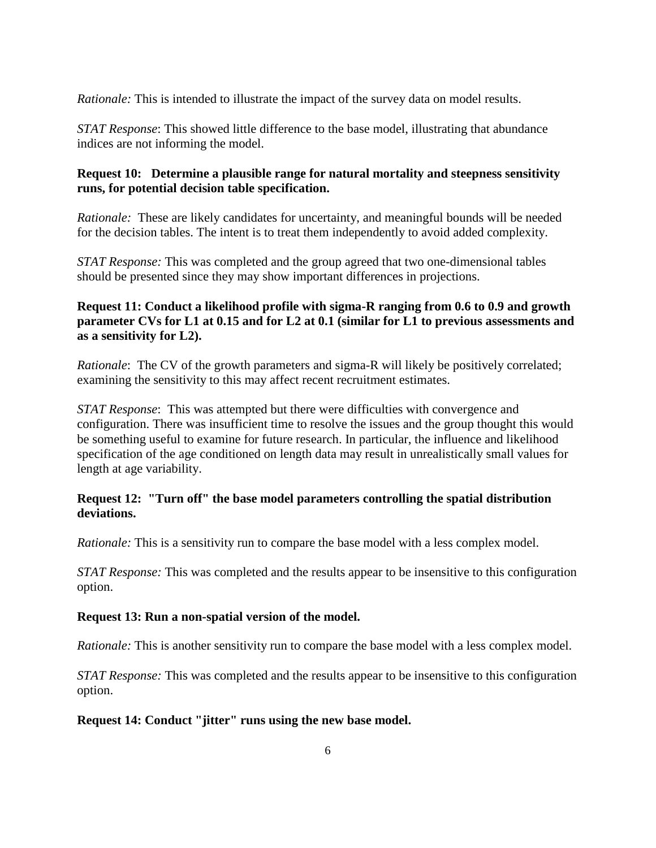*Rationale:* This is intended to illustrate the impact of the survey data on model results.

*STAT Response*: This showed little difference to the base model, illustrating that abundance indices are not informing the model.

#### **Request 10: Determine a plausible range for natural mortality and steepness sensitivity runs, for potential decision table specification.**

*Rationale:* These are likely candidates for uncertainty, and meaningful bounds will be needed for the decision tables. The intent is to treat them independently to avoid added complexity.

*STAT Response:* This was completed and the group agreed that two one-dimensional tables should be presented since they may show important differences in projections.

#### **Request 11: Conduct a likelihood profile with sigma-R ranging from 0.6 to 0.9 and growth parameter CVs for L1 at 0.15 and for L2 at 0.1 (similar for L1 to previous assessments and as a sensitivity for L2).**

*Rationale*: The CV of the growth parameters and sigma-R will likely be positively correlated; examining the sensitivity to this may affect recent recruitment estimates.

*STAT Response*: This was attempted but there were difficulties with convergence and configuration. There was insufficient time to resolve the issues and the group thought this would be something useful to examine for future research. In particular, the influence and likelihood specification of the age conditioned on length data may result in unrealistically small values for length at age variability.

#### **Request 12: "Turn off" the base model parameters controlling the spatial distribution deviations.**

*Rationale:* This is a sensitivity run to compare the base model with a less complex model.

*STAT Response:* This was completed and the results appear to be insensitive to this configuration option.

#### **Request 13: Run a non-spatial version of the model.**

*Rationale:* This is another sensitivity run to compare the base model with a less complex model.

*STAT Response:* This was completed and the results appear to be insensitive to this configuration option.

#### **Request 14: Conduct "jitter" runs using the new base model.**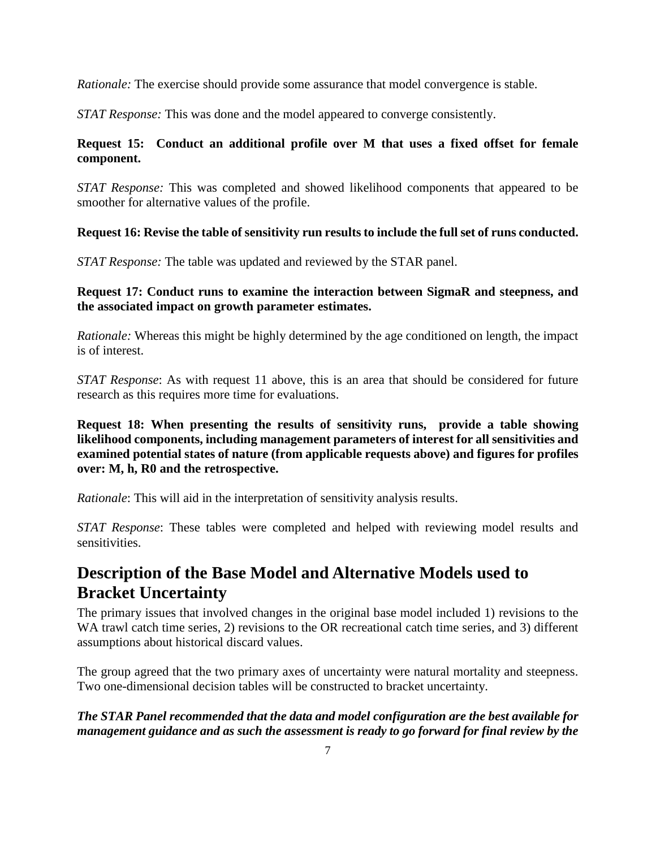*Rationale:* The exercise should provide some assurance that model convergence is stable.

*STAT Response:* This was done and the model appeared to converge consistently.

### **Request 15: Conduct an additional profile over M that uses a fixed offset for female component.**

*STAT Response:* This was completed and showed likelihood components that appeared to be smoother for alternative values of the profile.

### **Request 16: Revise the table of sensitivity run results to include the full set of runs conducted.**

*STAT Response:* The table was updated and reviewed by the STAR panel.

### **Request 17: Conduct runs to examine the interaction between SigmaR and steepness, and the associated impact on growth parameter estimates.**

*Rationale:* Whereas this might be highly determined by the age conditioned on length, the impact is of interest.

*STAT Response*: As with request 11 above, this is an area that should be considered for future research as this requires more time for evaluations.

**Request 18: When presenting the results of sensitivity runs, provide a table showing likelihood components, including management parameters of interest for all sensitivities and examined potential states of nature (from applicable requests above) and figures for profiles over: M, h, R0 and the retrospective.**

*Rationale*: This will aid in the interpretation of sensitivity analysis results.

*STAT Response*: These tables were completed and helped with reviewing model results and sensitivities.

# **Description of the Base Model and Alternative Models used to Bracket Uncertainty**

The primary issues that involved changes in the original base model included 1) revisions to the WA trawl catch time series, 2) revisions to the OR recreational catch time series, and 3) different assumptions about historical discard values.

The group agreed that the two primary axes of uncertainty were natural mortality and steepness. Two one-dimensional decision tables will be constructed to bracket uncertainty.

### *The STAR Panel recommended that the data and model configuration are the best available for management guidance and as such the assessment is ready to go forward for final review by the*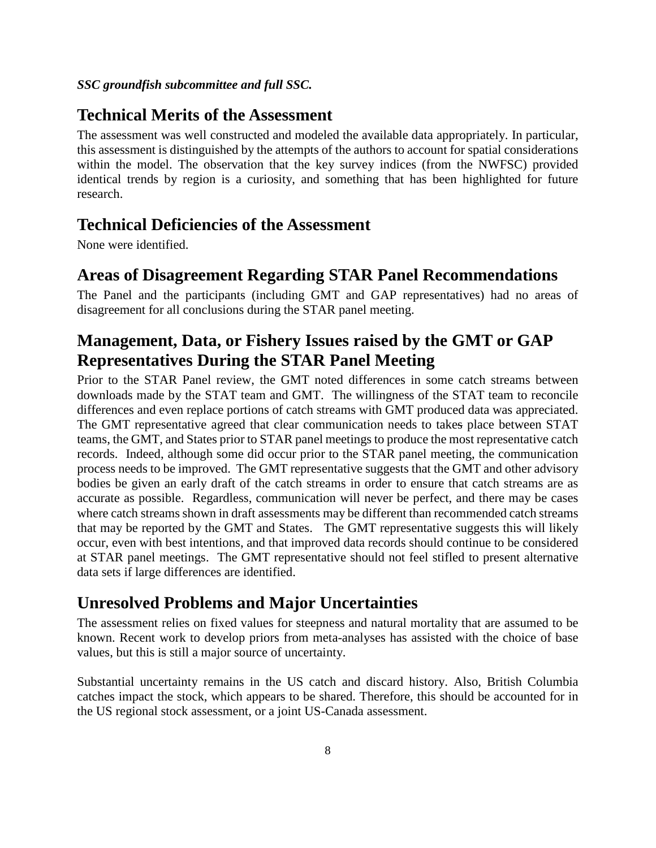#### *SSC groundfish subcommittee and full SSC.*

### **Technical Merits of the Assessment**

The assessment was well constructed and modeled the available data appropriately. In particular, this assessment is distinguished by the attempts of the authors to account for spatial considerations within the model. The observation that the key survey indices (from the NWFSC) provided identical trends by region is a curiosity, and something that has been highlighted for future research.

### **Technical Deficiencies of the Assessment**

None were identified.

## **Areas of Disagreement Regarding STAR Panel Recommendations**

The Panel and the participants (including GMT and GAP representatives) had no areas of disagreement for all conclusions during the STAR panel meeting.

# **Management, Data, or Fishery Issues raised by the GMT or GAP Representatives During the STAR Panel Meeting**

Prior to the STAR Panel review, the GMT noted differences in some catch streams between downloads made by the STAT team and GMT. The willingness of the STAT team to reconcile differences and even replace portions of catch streams with GMT produced data was appreciated. The GMT representative agreed that clear communication needs to takes place between STAT teams, the GMT, and States prior to STAR panel meetings to produce the most representative catch records. Indeed, although some did occur prior to the STAR panel meeting, the communication process needs to be improved. The GMT representative suggests that the GMT and other advisory bodies be given an early draft of the catch streams in order to ensure that catch streams are as accurate as possible. Regardless, communication will never be perfect, and there may be cases where catch streams shown in draft assessments may be different than recommended catch streams that may be reported by the GMT and States. The GMT representative suggests this will likely occur, even with best intentions, and that improved data records should continue to be considered at STAR panel meetings. The GMT representative should not feel stifled to present alternative data sets if large differences are identified.

### **Unresolved Problems and Major Uncertainties**

The assessment relies on fixed values for steepness and natural mortality that are assumed to be known. Recent work to develop priors from meta-analyses has assisted with the choice of base values, but this is still a major source of uncertainty.

Substantial uncertainty remains in the US catch and discard history. Also, British Columbia catches impact the stock, which appears to be shared. Therefore, this should be accounted for in the US regional stock assessment, or a joint US-Canada assessment.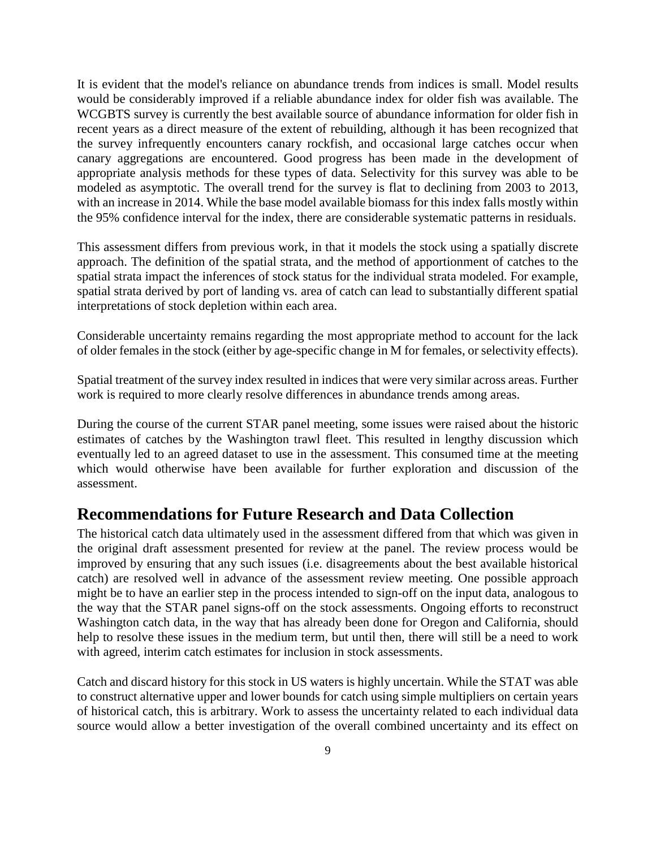It is evident that the model's reliance on abundance trends from indices is small. Model results would be considerably improved if a reliable abundance index for older fish was available. The WCGBTS survey is currently the best available source of abundance information for older fish in recent years as a direct measure of the extent of rebuilding, although it has been recognized that the survey infrequently encounters canary rockfish, and occasional large catches occur when canary aggregations are encountered. Good progress has been made in the development of appropriate analysis methods for these types of data. Selectivity for this survey was able to be modeled as asymptotic. The overall trend for the survey is flat to declining from 2003 to 2013, with an increase in 2014. While the base model available biomass for this index falls mostly within the 95% confidence interval for the index, there are considerable systematic patterns in residuals.

This assessment differs from previous work, in that it models the stock using a spatially discrete approach. The definition of the spatial strata, and the method of apportionment of catches to the spatial strata impact the inferences of stock status for the individual strata modeled. For example, spatial strata derived by port of landing vs. area of catch can lead to substantially different spatial interpretations of stock depletion within each area.

Considerable uncertainty remains regarding the most appropriate method to account for the lack of older females in the stock (either by age-specific change in M for females, or selectivity effects).

Spatial treatment of the survey index resulted in indices that were very similar across areas. Further work is required to more clearly resolve differences in abundance trends among areas.

During the course of the current STAR panel meeting, some issues were raised about the historic estimates of catches by the Washington trawl fleet. This resulted in lengthy discussion which eventually led to an agreed dataset to use in the assessment. This consumed time at the meeting which would otherwise have been available for further exploration and discussion of the assessment.

### **Recommendations for Future Research and Data Collection**

The historical catch data ultimately used in the assessment differed from that which was given in the original draft assessment presented for review at the panel. The review process would be improved by ensuring that any such issues (i.e. disagreements about the best available historical catch) are resolved well in advance of the assessment review meeting. One possible approach might be to have an earlier step in the process intended to sign-off on the input data, analogous to the way that the STAR panel signs-off on the stock assessments. Ongoing efforts to reconstruct Washington catch data, in the way that has already been done for Oregon and California, should help to resolve these issues in the medium term, but until then, there will still be a need to work with agreed, interim catch estimates for inclusion in stock assessments.

Catch and discard history for this stock in US waters is highly uncertain. While the STAT was able to construct alternative upper and lower bounds for catch using simple multipliers on certain years of historical catch, this is arbitrary. Work to assess the uncertainty related to each individual data source would allow a better investigation of the overall combined uncertainty and its effect on